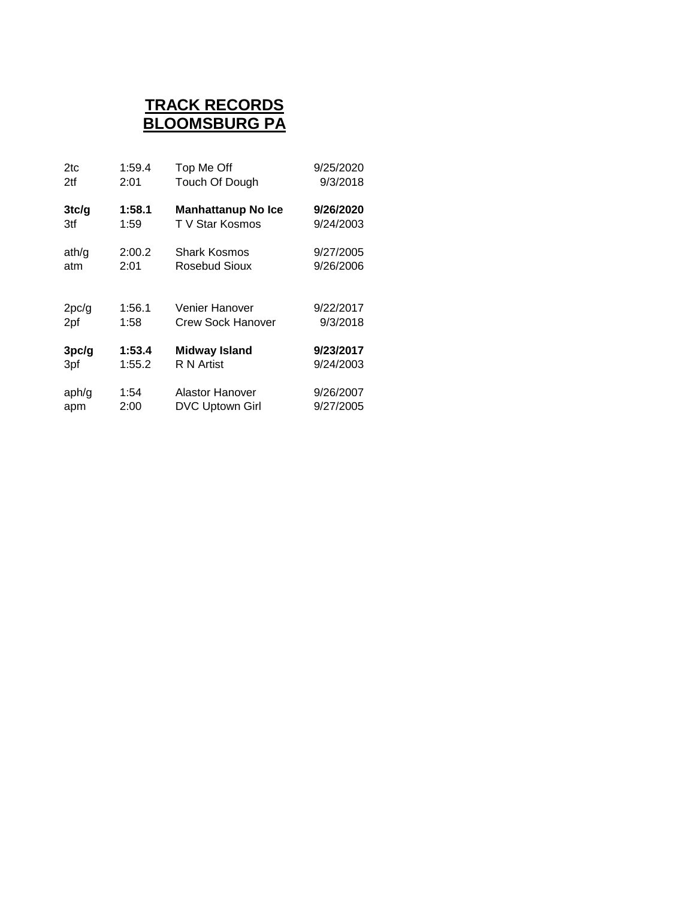# **TRACK RECORDS BLOOMSBURG PA**

| 2tc   | 1:59.4 | Top Me Off                | 9/25/2020 |
|-------|--------|---------------------------|-----------|
| 2tf   | 2:01   | Touch Of Dough            | 9/3/2018  |
| 3tc/g | 1:58.1 | <b>Manhattanup No Ice</b> | 9/26/2020 |
| 3tf   | 1:59   | T V Star Kosmos           | 9/24/2003 |
| ath/g | 2:00.2 | Shark Kosmos              | 9/27/2005 |
| atm   | 2:01   | Rosebud Sioux             | 9/26/2006 |
| 2pc/g | 1:56.1 | Venier Hanover            | 9/22/2017 |
| 2pf   | 1:58   | Crew Sock Hanover         | 9/3/2018  |
| 3pc/g | 1:53.4 | <b>Midway Island</b>      | 9/23/2017 |
| 3pf   | 1:55.2 | R N Artist                | 9/24/2003 |
| aph/g | 1:54   | Alastor Hanover           | 9/26/2007 |
| apm   | 2:00   | DVC Uptown Girl           | 9/27/2005 |
|       |        |                           |           |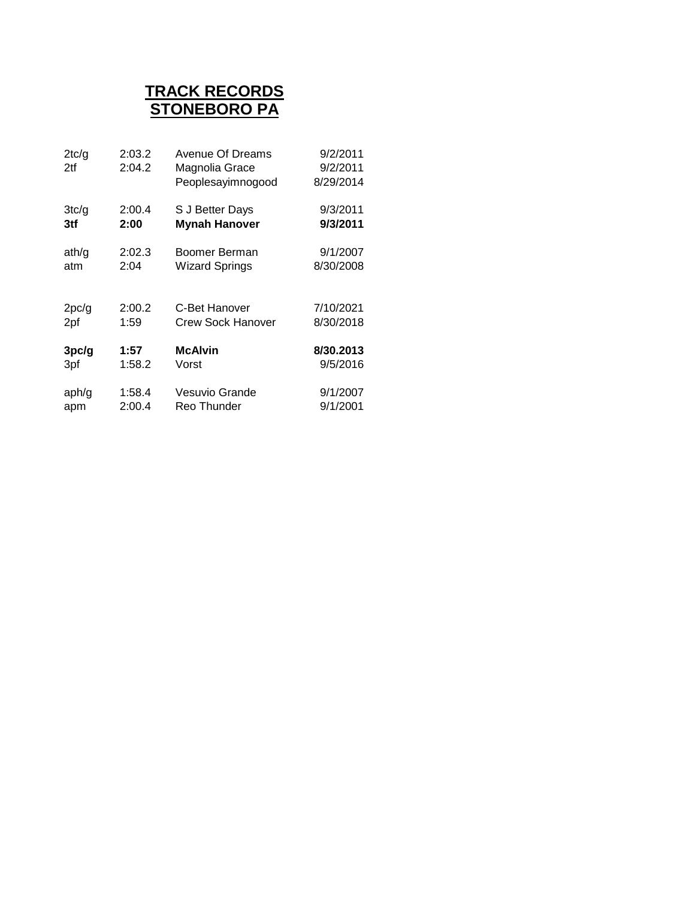### **TRACK RECORDS STONEBORO PA**

| 2tc/g<br>2tf | 2:03.2<br>2:04.2 | Avenue Of Dreams<br>Magnolia Grace<br>Peoplesayimnogood | 9/2/2011<br>9/2/2011<br>8/29/2014 |
|--------------|------------------|---------------------------------------------------------|-----------------------------------|
| 3tc/g        | 2:00.4           | S J Better Days                                         | 9/3/2011                          |
| 3tf          | 2:00             | <b>Mynah Hanover</b>                                    | 9/3/2011                          |
| ath/g        | 2:02.3           | Boomer Berman                                           | 9/1/2007                          |
| atm          | 2:04             | <b>Wizard Springs</b>                                   | 8/30/2008                         |
| 2pc/g        | 2:00.2           | C-Bet Hanover                                           | 7/10/2021                         |
| 2pf          | 1:59             | <b>Crew Sock Hanover</b>                                | 8/30/2018                         |
| 3pc/g        | 1:57             | <b>McAlvin</b>                                          | 8/30.2013                         |
| 3pf          | 1:58.2           | Vorst                                                   | 9/5/2016                          |
| aph/g        | 1:58.4           | Vesuvio Grande                                          | 9/1/2007                          |
| apm          | 2:00.4           | Reo Thunder                                             | 9/1/2001                          |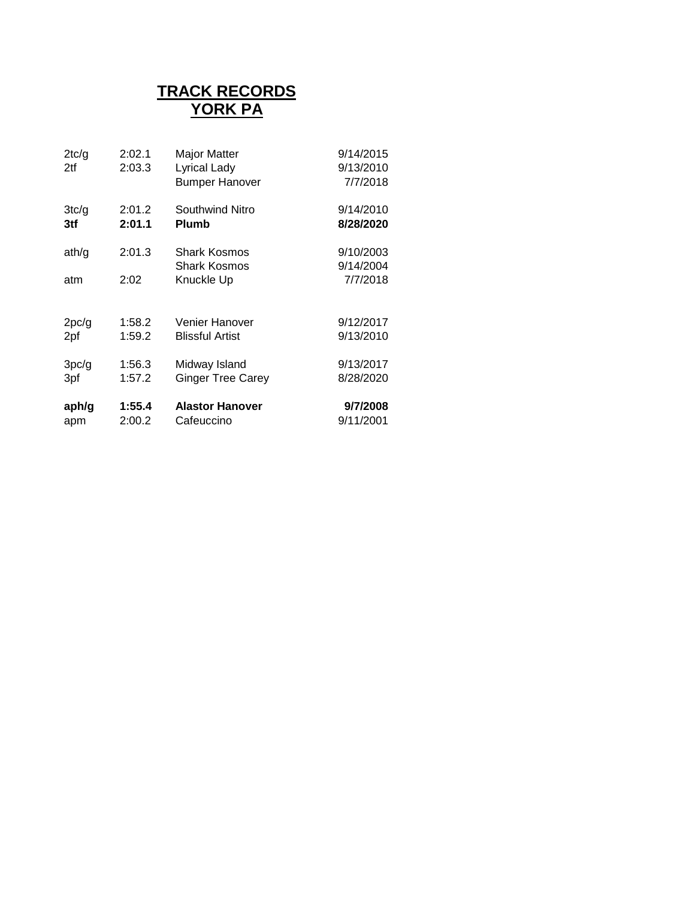#### **TRACK RECORDS YORK PA**

| 2tc/g<br>2tf | 2:02.1<br>2:03.3 | <b>Major Matter</b><br><b>Lyrical Lady</b><br><b>Bumper Hanover</b> | 9/14/2015<br>9/13/2010<br>7/7/2018 |
|--------------|------------------|---------------------------------------------------------------------|------------------------------------|
| 3tc/g        | 2:01.2           | Southwind Nitro                                                     | 9/14/2010                          |
| 3tf          | 2:01.1           | <b>Plumb</b>                                                        | 8/28/2020                          |
| ath/g        | 2:01.3           | <b>Shark Kosmos</b><br><b>Shark Kosmos</b>                          | 9/10/2003<br>9/14/2004             |
| atm          | 2:02             | Knuckle Up                                                          | 7/7/2018                           |
| 2pc/g        | 1:58.2           | Venier Hanover                                                      | 9/12/2017                          |
| 2pf          | 1:59.2           | <b>Blissful Artist</b>                                              | 9/13/2010                          |
| 3pc/g        | 1:56.3           | Midway Island                                                       | 9/13/2017                          |
| 3pf          | 1:57.2           | <b>Ginger Tree Carey</b>                                            | 8/28/2020                          |
| aph/g        | 1:55.4           | <b>Alastor Hanover</b>                                              | 9/7/2008                           |
| apm          | 2:00.2           | Cafeuccino                                                          | 9/11/2001                          |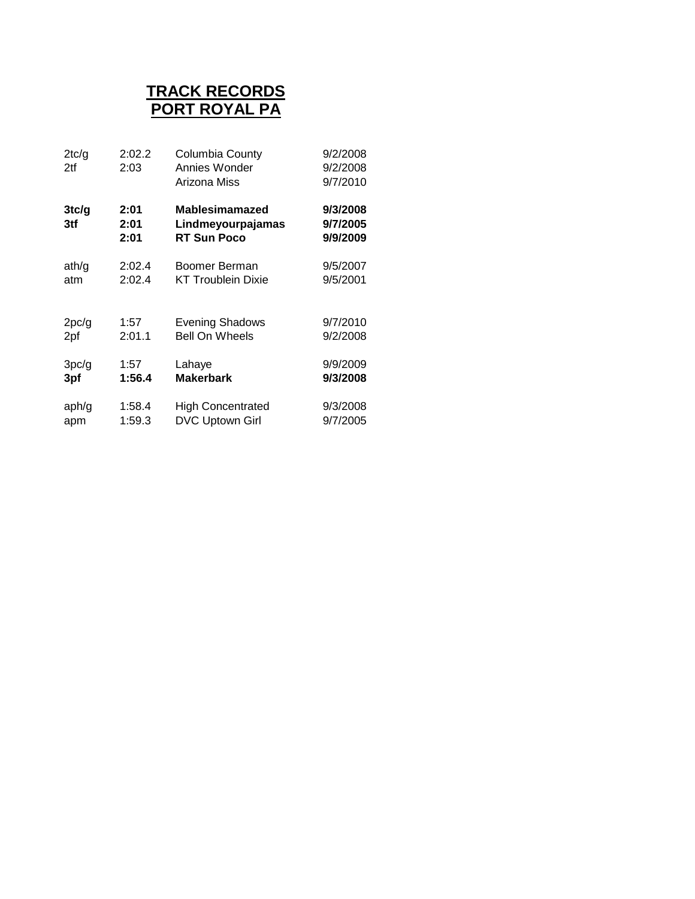### **PORT ROYAL PA TRACK RECORDS**

| 2tc/g<br>2tf | 2:02.2<br>2:03       | Columbia County<br>Annies Wonder<br>Arizona Miss                 | 9/2/2008<br>9/2/2008<br>9/7/2010 |
|--------------|----------------------|------------------------------------------------------------------|----------------------------------|
| 3tc/g<br>3tf | 2:01<br>2:01<br>2:01 | <b>Mablesimamazed</b><br>Lindmeyourpajamas<br><b>RT Sun Poco</b> | 9/3/2008<br>9/7/2005<br>9/9/2009 |
| ath/g        | 2:02.4               | Boomer Berman                                                    | 9/5/2007                         |
| atm          | 2:02.4               | <b>KT Troublein Dixie</b>                                        | 9/5/2001                         |
| 2pc/g        | 1:57                 | <b>Evening Shadows</b>                                           | 9/7/2010                         |
| 2pf          | 2:01.1               | <b>Bell On Wheels</b>                                            | 9/2/2008                         |
| 3pc/g        | 1:57                 | Lahaye                                                           | 9/9/2009                         |
| 3pf          | 1:56.4               | <b>Makerbark</b>                                                 | 9/3/2008                         |
| aph/g        | 1:58.4               | <b>High Concentrated</b>                                         | 9/3/2008                         |
| apm          | 1:59.3               | <b>DVC Uptown Girl</b>                                           | 9/7/2005                         |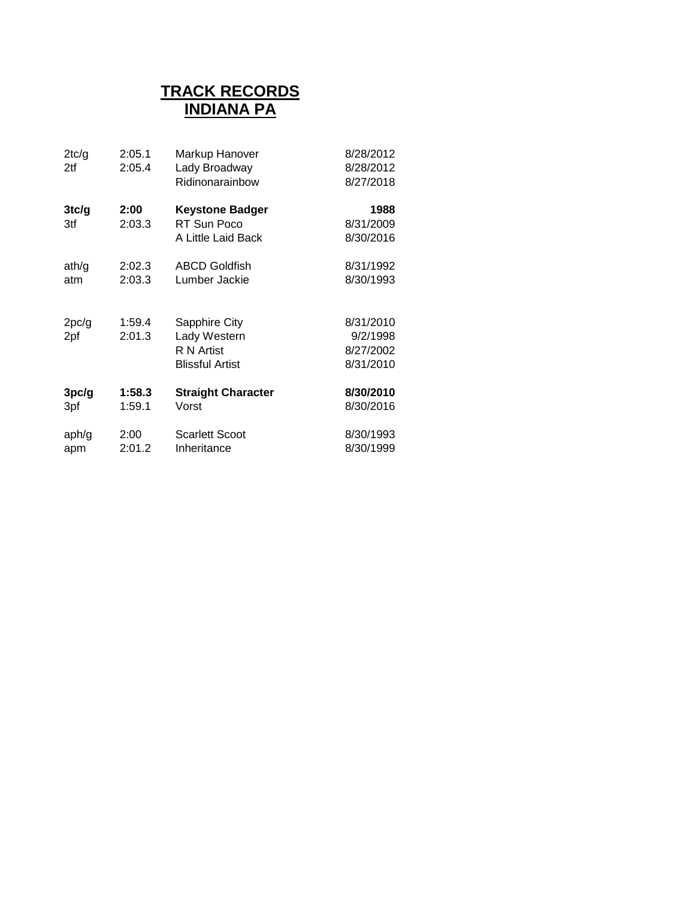### **INDIANA PA TRACK RECORDS**

| 2tc/g<br>2tf | 2:05.1<br>2:05.4 | Markup Hanover<br>Lady Broadway<br>Ridinonarainbow                    | 8/28/2012<br>8/28/2012<br>8/27/2018             |
|--------------|------------------|-----------------------------------------------------------------------|-------------------------------------------------|
| 3tc/g<br>3tf | 2:00<br>2:03.3   | <b>Keystone Badger</b><br>RT Sun Poco<br>A Little Laid Back           | 1988<br>8/31/2009<br>8/30/2016                  |
| ath/g        | 2:02.3           | <b>ABCD Goldfish</b>                                                  | 8/31/1992                                       |
| atm          | 2:03.3           | Lumber Jackie                                                         | 8/30/1993                                       |
| 2pc/g<br>2pf | 1:59.4<br>2:01.3 | Sapphire City<br>Lady Western<br>R N Artist<br><b>Blissful Artist</b> | 8/31/2010<br>9/2/1998<br>8/27/2002<br>8/31/2010 |
| 3pc/g        | 1:58.3           | <b>Straight Character</b>                                             | 8/30/2010                                       |
| 3pf          | 1:59.1           | Vorst                                                                 | 8/30/2016                                       |
| aph/g        | 2:00             | <b>Scarlett Scoot</b>                                                 | 8/30/1993                                       |
| apm          | 2:01.2           | Inheritance                                                           | 8/30/1999                                       |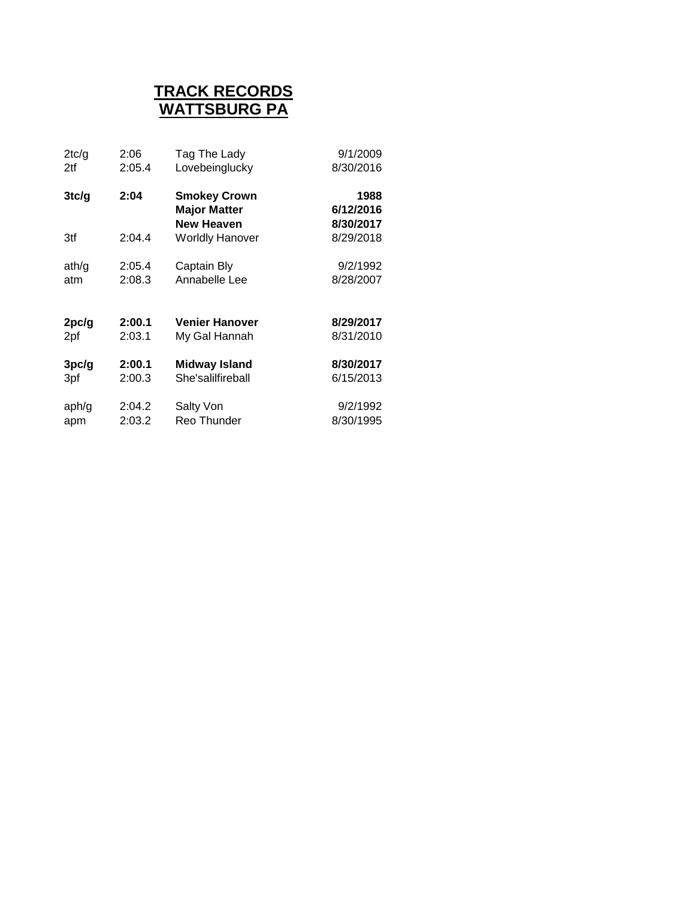### **WATTSBURG PA TRACK RECORDS**

| 2tc/g | 2:06   | Tag The Lady                                | 9/1/2009               |
|-------|--------|---------------------------------------------|------------------------|
| 2tf   | 2:05.4 | Lovebeinglucky                              | 8/30/2016              |
| 3tc/g | 2:04   | <b>Smokey Crown</b><br><b>Major Matter</b>  | 1988<br>6/12/2016      |
| 3tf   | 2:04.4 | <b>New Heaven</b><br><b>Worldly Hanover</b> | 8/30/2017<br>8/29/2018 |
| ath/g | 2:05.4 | Captain Bly                                 | 9/2/1992               |
| atm   | 2:08.3 | Annabelle Lee                               | 8/28/2007              |
| 2pc/g | 2:00.1 | <b>Venier Hanover</b>                       | 8/29/2017              |
| 2pf   | 2:03.1 | My Gal Hannah                               | 8/31/2010              |
| 3pc/g | 2:00.1 | Midway Island                               | 8/30/2017              |
| 3pf   | 2:00.3 | She'salilfireball                           | 6/15/2013              |
| aph/g | 2:04.2 | Salty Von                                   | 9/2/1992               |
| apm   | 2:03.2 | Reo Thunder                                 | 8/30/1995              |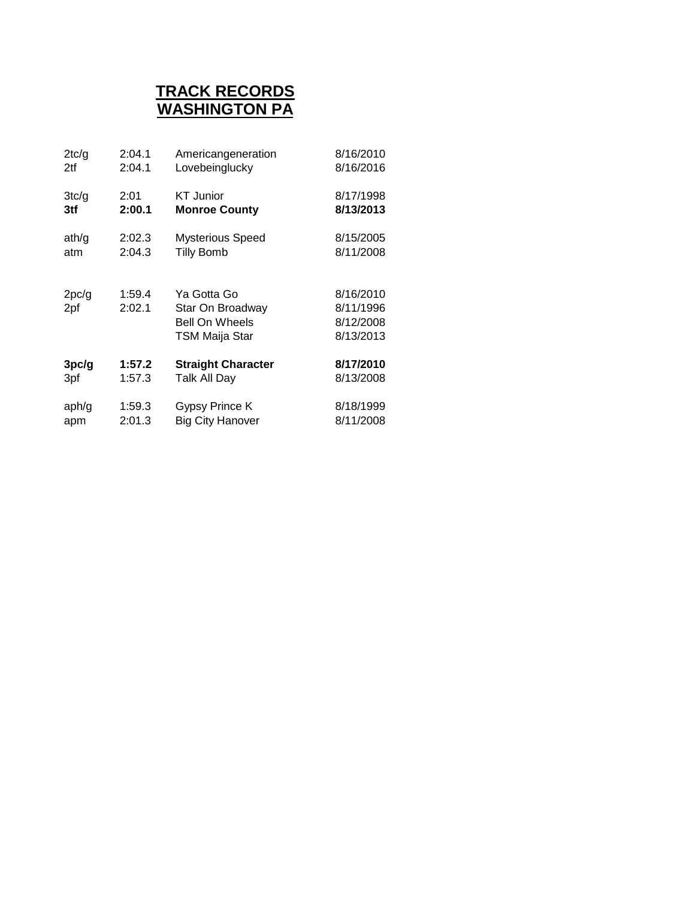#### **WASHINGTON PA TRACK RECORDS**

| 2tc/g        | 2:04.1           | Americangeneration                                                         | 8/16/2010                                        |
|--------------|------------------|----------------------------------------------------------------------------|--------------------------------------------------|
| 2tf          | 2:04.1           | Lovebeinglucky                                                             | 8/16/2016                                        |
| 3tc/g        | 2:01             | <b>KT</b> Junior                                                           | 8/17/1998                                        |
| 3tf          | 2:00.1           | <b>Monroe County</b>                                                       | 8/13/2013                                        |
| ath/g        | 2:02.3           | <b>Mysterious Speed</b>                                                    | 8/15/2005                                        |
| atm          | 2:04.3           | <b>Tilly Bomb</b>                                                          | 8/11/2008                                        |
| 2pc/g<br>2pf | 1:59.4<br>2:02.1 | Ya Gotta Go<br>Star On Broadway<br><b>Bell On Wheels</b><br>TSM Maija Star | 8/16/2010<br>8/11/1996<br>8/12/2008<br>8/13/2013 |
| 3pc/g        | 1:57.2           | <b>Straight Character</b>                                                  | 8/17/2010                                        |
| 3pf          | 1:57.3           | Talk All Day                                                               | 8/13/2008                                        |
| aph/g        | 1:59.3           | Gypsy Prince K                                                             | 8/18/1999                                        |
| apm          | 2:01.3           | <b>Big City Hanover</b>                                                    | 8/11/2008                                        |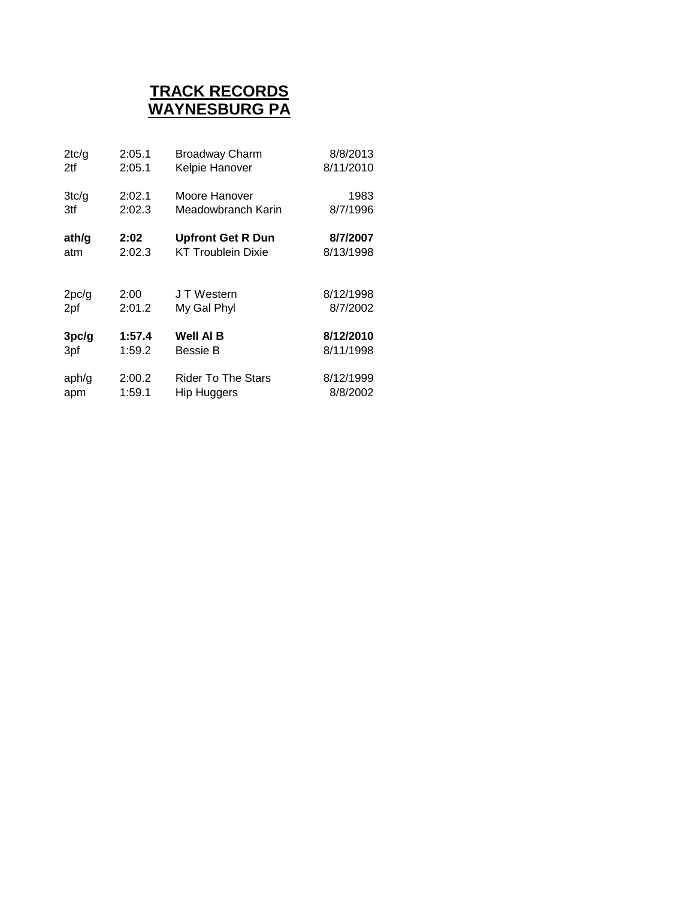## **WAYNESBURG PA TRACK RECORDS**

| 2tc/q | 2:05.1 | <b>Broadway Charm</b>     | 8/8/2013  |
|-------|--------|---------------------------|-----------|
| 2tf   | 2:05.1 | Kelpie Hanover            | 8/11/2010 |
| 3tc/g | 2:02.1 | Moore Hanover             | 1983      |
| 3tf   | 2:02.3 | Meadowbranch Karin        | 8/7/1996  |
| ath/g | 2:02   | <b>Upfront Get R Dun</b>  | 8/7/2007  |
| atm   | 2:02.3 | <b>KT Troublein Dixie</b> | 8/13/1998 |
| 2pc/g | 2:00   | J T Western               | 8/12/1998 |
| 2pf   | 2:01.2 | My Gal Phyl               | 8/7/2002  |
| 3pc/g | 1:57.4 | <b>Well AI B</b>          | 8/12/2010 |
| 3pf   | 1:59.2 | Bessie B                  | 8/11/1998 |
| aph/g | 2:00.2 | <b>Rider To The Stars</b> | 8/12/1999 |
| apm   | 1:59.1 | <b>Hip Huggers</b>        | 8/8/2002  |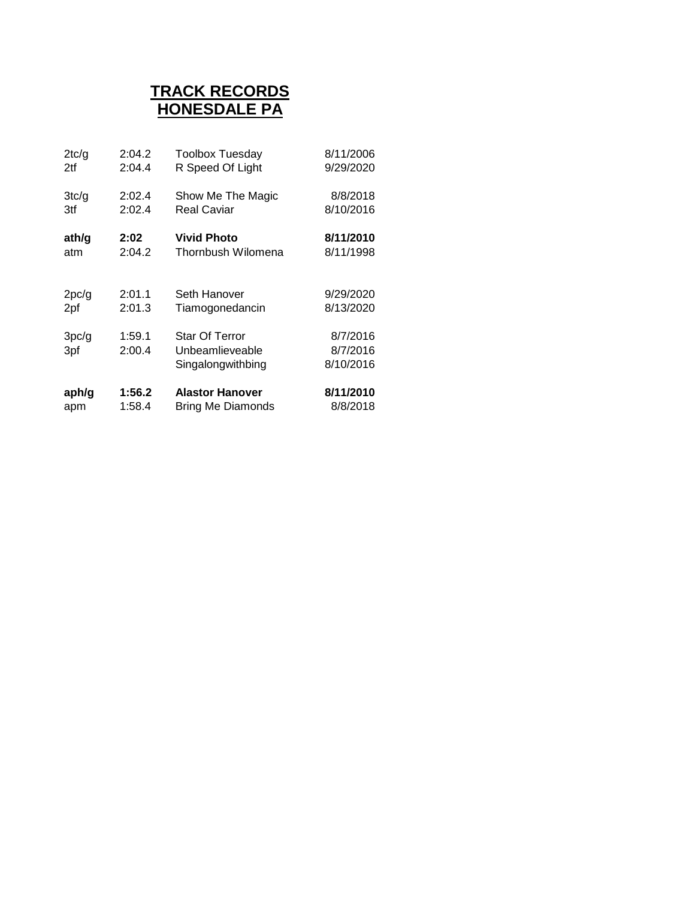# **HONESDALE PA TRACK RECORDS**

| 2tc/q | 2:04.2 | <b>Toolbox Tuesday</b> | 8/11/2006 |
|-------|--------|------------------------|-----------|
| 2tf   | 2:04.4 | R Speed Of Light       | 9/29/2020 |
| 3tc/g | 2:02.4 | Show Me The Magic      | 8/8/2018  |
| 3tf   | 2:02.4 | <b>Real Caviar</b>     | 8/10/2016 |
| ath/g | 2:02   | <b>Vivid Photo</b>     | 8/11/2010 |
| atm   | 2:04.2 | Thornbush Wilomena     | 8/11/1998 |
| 2pc/g | 2:01.1 | Seth Hanover           | 9/29/2020 |
| 2pf   | 2:01.3 | Tiamogonedancin        | 8/13/2020 |
| 3pc/g | 1:59.1 | <b>Star Of Terror</b>  | 8/7/2016  |
| 3pf   | 2:00.4 | Unbeamlieveable        | 8/7/2016  |
|       |        | Singalongwithbing      | 8/10/2016 |
| aph/g | 1:56.2 | <b>Alastor Hanover</b> | 8/11/2010 |
| apm   | 1:58.4 | Bring Me Diamonds      | 8/8/2018  |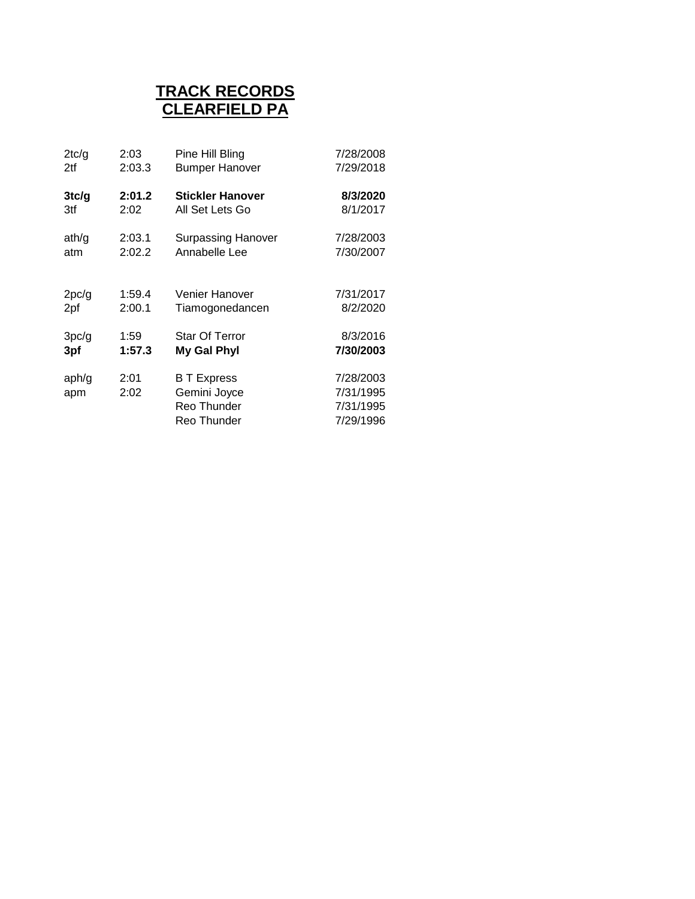# **CLEARFIELD PA TRACK RECORDS**

| 2tc/g        | 2:03         | Pine Hill Bling                                                  | 7/28/2008                                        |
|--------------|--------------|------------------------------------------------------------------|--------------------------------------------------|
| 2tf          | 2:03.3       | <b>Bumper Hanover</b>                                            | 7/29/2018                                        |
| 3tc/g        | 2:01.2       | <b>Stickler Hanover</b>                                          | 8/3/2020                                         |
| 3tf          | 2:02         | All Set Lets Go                                                  | 8/1/2017                                         |
| ath/g        | 2:03.1       | <b>Surpassing Hanover</b>                                        | 7/28/2003                                        |
| atm          | 2:02.2       | Annabelle Lee                                                    | 7/30/2007                                        |
| 2pc/g        | 1:59.4       | Venier Hanover                                                   | 7/31/2017                                        |
| 2pf          | 2:00.1       | Tiamogonedancen                                                  | 8/2/2020                                         |
| 3pc/g        | 1:59         | <b>Star Of Terror</b>                                            | 8/3/2016                                         |
| 3pf          | 1:57.3       | My Gal Phyl                                                      | 7/30/2003                                        |
| aph/g<br>apm | 2:01<br>2:02 | <b>B</b> T Express<br>Gemini Joyce<br>Reo Thunder<br>Reo Thunder | 7/28/2003<br>7/31/1995<br>7/31/1995<br>7/29/1996 |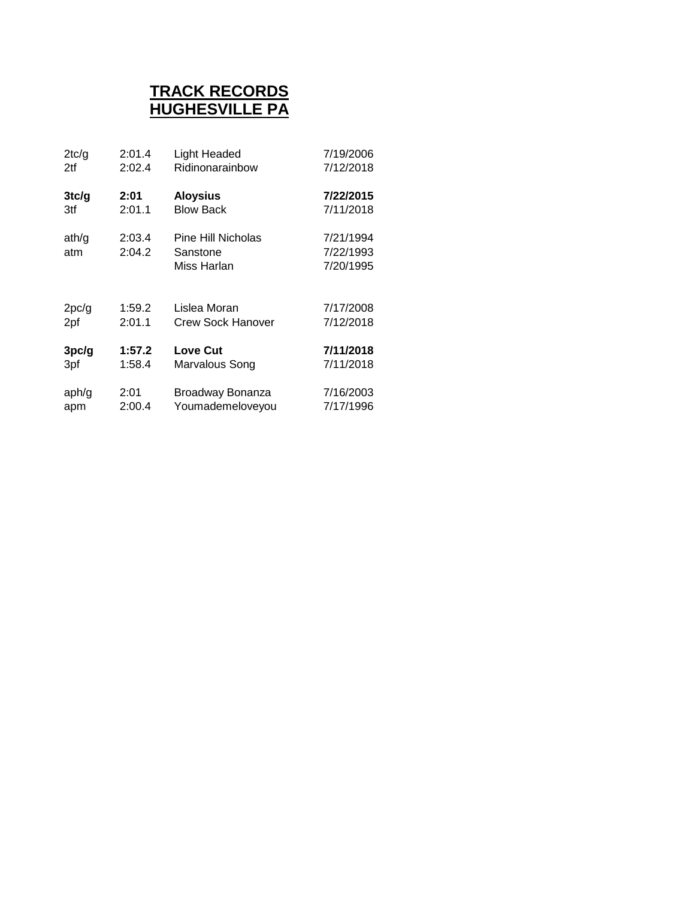## **HUGHESVILLE PA TRACK RECORDS**

| 2tc/q | 2:01.4 | <b>Light Headed</b>      | 7/19/2006 |
|-------|--------|--------------------------|-----------|
| 2tf   | 2:02.4 | Ridinonarainbow          | 7/12/2018 |
| 3tc/g | 2:01   | <b>Aloysius</b>          | 7/22/2015 |
| 3tf   | 2:01.1 | <b>Blow Back</b>         | 7/11/2018 |
| ath/g | 2:03.4 | Pine Hill Nicholas       | 7/21/1994 |
| atm   | 2:04.2 | Sanstone                 | 7/22/1993 |
|       |        | Miss Harlan              | 7/20/1995 |
| 2pc/g | 1:59.2 | Lislea Moran             | 7/17/2008 |
| 2pf   | 2:01.1 | <b>Crew Sock Hanover</b> | 7/12/2018 |
| 3pc/g | 1:57.2 | <b>Love Cut</b>          | 7/11/2018 |
| 3pf   | 1:58.4 | Marvalous Song           | 7/11/2018 |
| aph/g | 2:01   | Broadway Bonanza         | 7/16/2003 |
| apm   | 2:00.4 | Youmademeloveyou         | 7/17/1996 |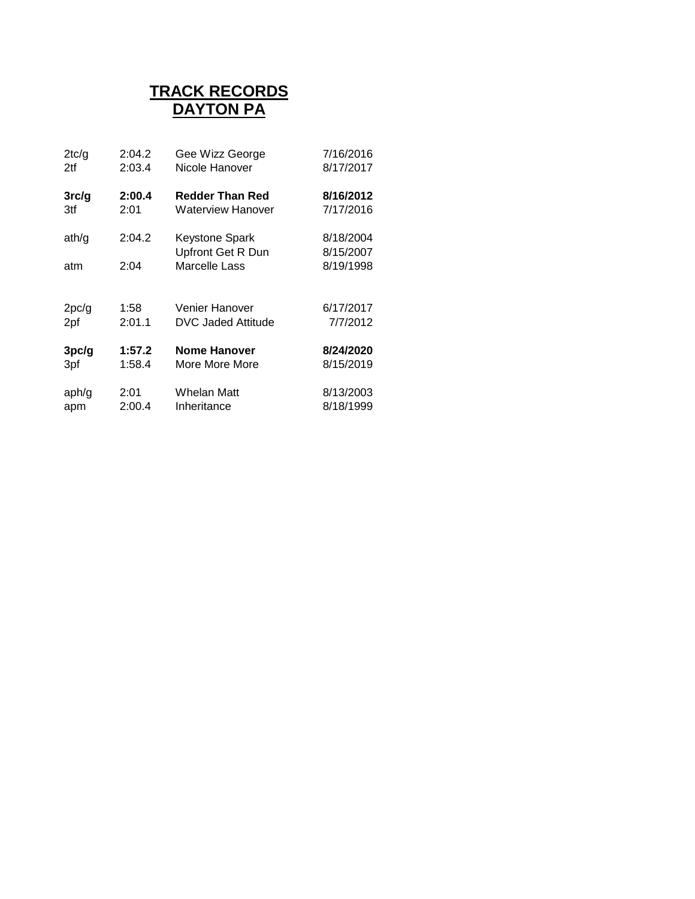### **DAYTON PA TRACK RECORDS**

| 2:04.2 | Gee Wizz George        | 7/16/2016         |
|--------|------------------------|-------------------|
| 2:03.4 | Nicole Hanover         | 8/17/2017         |
| 2:00.4 | <b>Redder Than Red</b> | 8/16/2012         |
| 2:01   | Waterview Hanover      | 7/17/2016         |
| 2:04.2 | <b>Keystone Spark</b>  | 8/18/2004         |
|        |                        | 8/15/2007         |
| 2:04   | Marcelle Lass          | 8/19/1998         |
|        |                        |                   |
| 1:58   | Venier Hanover         | 6/17/2017         |
| 2:01.1 | DVC Jaded Attitude     | 7/7/2012          |
| 1:57.2 | <b>Nome Hanover</b>    | 8/24/2020         |
| 1:58.4 | More More More         | 8/15/2019         |
| 2:01   | Whelan Matt            | 8/13/2003         |
| 2:00.4 | Inheritance            | 8/18/1999         |
|        |                        | Upfront Get R Dun |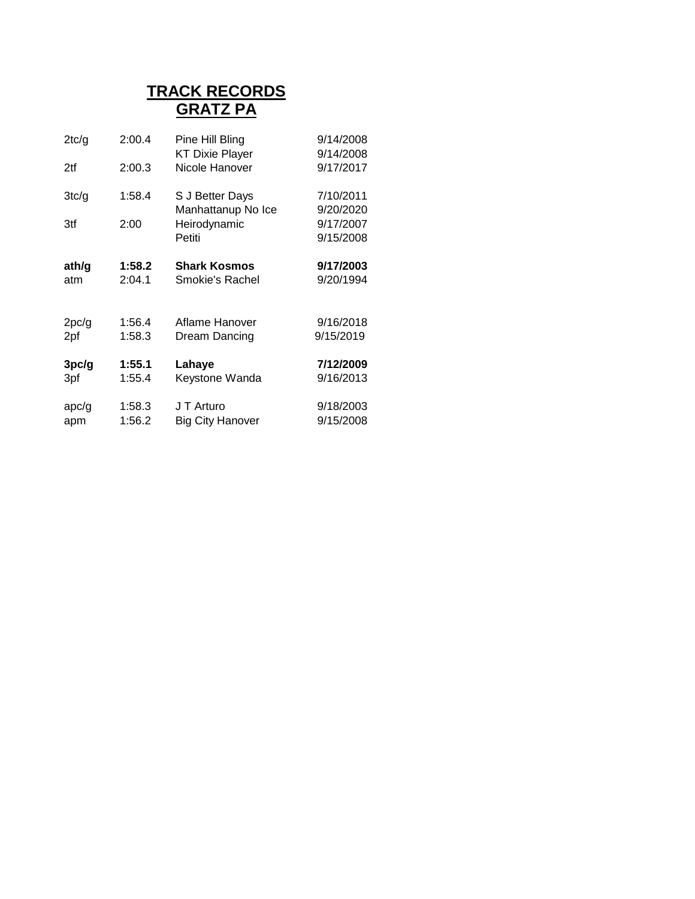#### **TRACK RECORDS GRATZ PA**

| 2tc/g | 2:00.4 | Pine Hill Bling<br><b>KT Dixie Player</b> | 9/14/2008<br>9/14/2008 |
|-------|--------|-------------------------------------------|------------------------|
| 2tf   | 2:00.3 | Nicole Hanover                            | 9/17/2017              |
| 3tc/g | 1:58.4 | S J Better Days<br>Manhattanup No Ice     | 7/10/2011<br>9/20/2020 |
| 3tf   | 2:00   | Heirodynamic                              | 9/17/2007              |
|       |        | Petiti                                    | 9/15/2008              |
| ath/g | 1:58.2 | <b>Shark Kosmos</b>                       | 9/17/2003              |
| atm   | 2:04.1 | Smokie's Rachel                           | 9/20/1994              |
| 2pc/g | 1:56.4 | Aflame Hanover                            | 9/16/2018              |
| 2pf   | 1:58.3 | Dream Dancing                             | 9/15/2019              |
| 3pc/g | 1:55.1 | Lahaye                                    | 7/12/2009              |
| 3pf   | 1:55.4 | Keystone Wanda                            | 9/16/2013              |
| apc/g | 1:58.3 | J T Arturo                                | 9/18/2003              |
| apm   | 1:56.2 | <b>Big City Hanover</b>                   | 9/15/2008              |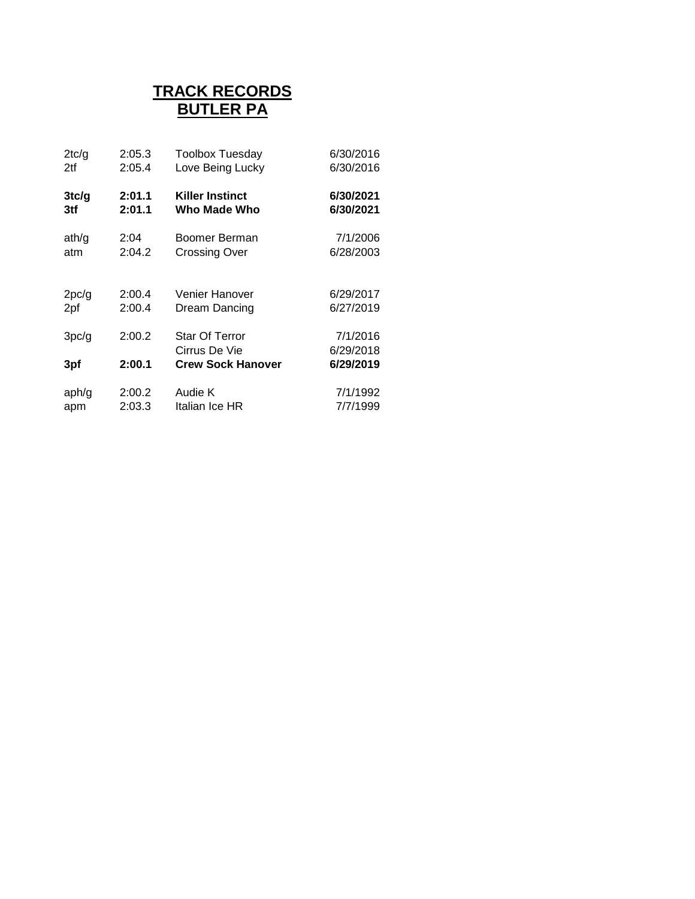# **BUTLER PA TRACK RECORDS**

| 2tc/g | 2:05.3 | <b>Toolbox Tuesday</b>   | 6/30/2016 |
|-------|--------|--------------------------|-----------|
| 2tf   | 2:05.4 | Love Being Lucky         | 6/30/2016 |
| 3tc/g | 2:01.1 | <b>Killer Instinct</b>   | 6/30/2021 |
| 3tf   | 2:01.1 | Who Made Who             | 6/30/2021 |
| ath/g | 2:04   | Boomer Berman            | 7/1/2006  |
| atm   | 2:04.2 | <b>Crossing Over</b>     | 6/28/2003 |
|       |        |                          |           |
| 2pc/g | 2:00.4 | Venier Hanover           | 6/29/2017 |
| 2pf   | 2:00.4 | Dream Dancing            | 6/27/2019 |
| 3pc/g | 2:00.2 | <b>Star Of Terror</b>    | 7/1/2016  |
|       |        | Cirrus De Vie            | 6/29/2018 |
| 3pf   | 2:00.1 | <b>Crew Sock Hanover</b> | 6/29/2019 |
|       |        |                          |           |
| aph/g | 2:00.2 | Audie K                  | 7/1/1992  |
| apm   | 2:03.3 | Italian Ice HR           | 7/7/1999  |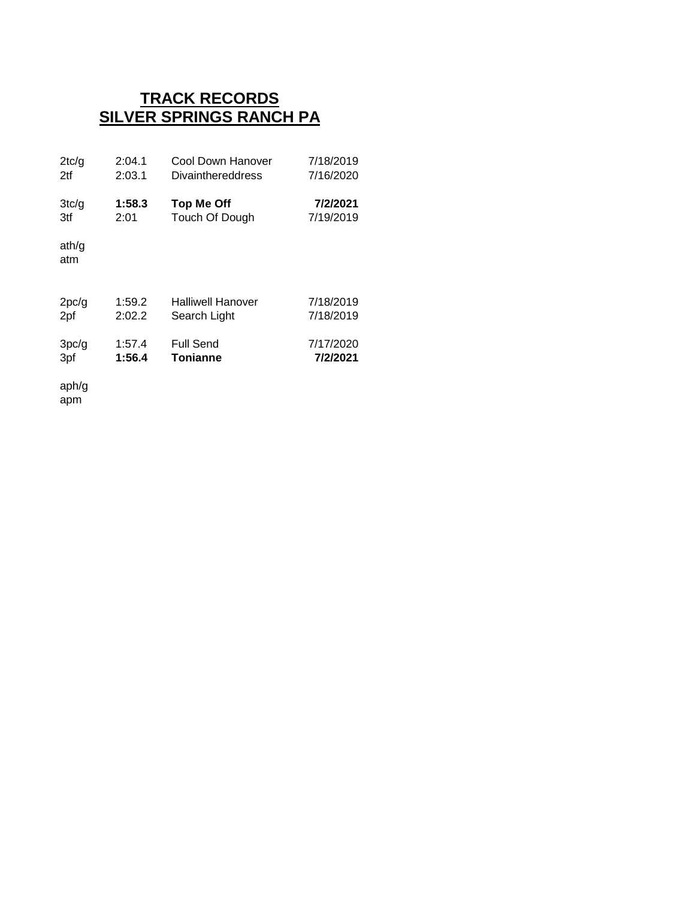### **TRACK RECORDS SILVER SPRINGS RANCH PA**

| 2tc/q        | 2:04.1 | Cool Down Hanover        | 7/18/2019 |
|--------------|--------|--------------------------|-----------|
| 2tf          | 2:03.1 | <b>Divainthereddress</b> | 7/16/2020 |
| 3tc/g        | 1:58.3 | <b>Top Me Off</b>        | 7/2/2021  |
| 3tf          | 2:01   | Touch Of Dough           | 7/19/2019 |
| ath/q<br>atm |        |                          |           |
| 2pc/g        | 1:59.2 | <b>Halliwell Hanover</b> | 7/18/2019 |
| 2pf          | 2:02.2 | Search Light             | 7/18/2019 |
| 3pc/g        | 1:57.4 | Full Send                | 7/17/2020 |
| 3pf          | 1:56.4 | <b>Tonianne</b>          | 7/2/2021  |

aph/g apm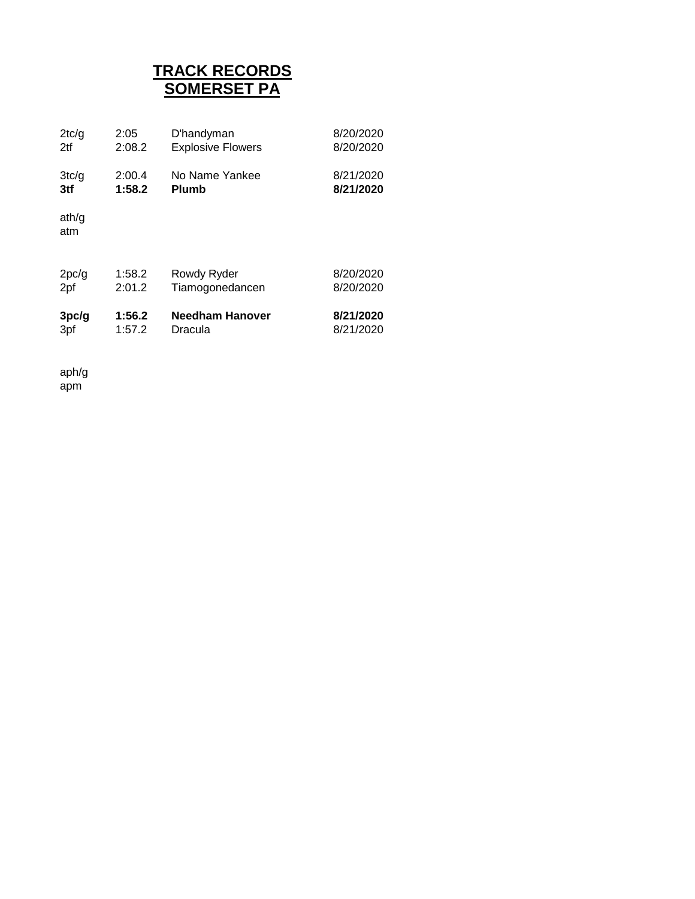# **TRACK RECORDS SOMERSET PA**

| 2tc/g        | 2:05   | D'handyman               | 8/20/2020 |
|--------------|--------|--------------------------|-----------|
| 2tf          | 2:08.2 | <b>Explosive Flowers</b> | 8/20/2020 |
| 3tc/q        | 2:00.4 | No Name Yankee           | 8/21/2020 |
| 3tf          | 1:58.2 | <b>Plumb</b>             | 8/21/2020 |
| ath/g<br>atm |        |                          |           |
| 2pc/g        | 1:58.2 | Rowdy Ryder              | 8/20/2020 |
| 2pf          | 2:01.2 | Tiamogonedancen          | 8/20/2020 |
| 3pc/g        | 1:56.2 | <b>Needham Hanover</b>   | 8/21/2020 |
| 3pf          | 1:57.2 | Dracula                  | 8/21/2020 |

aph/g apm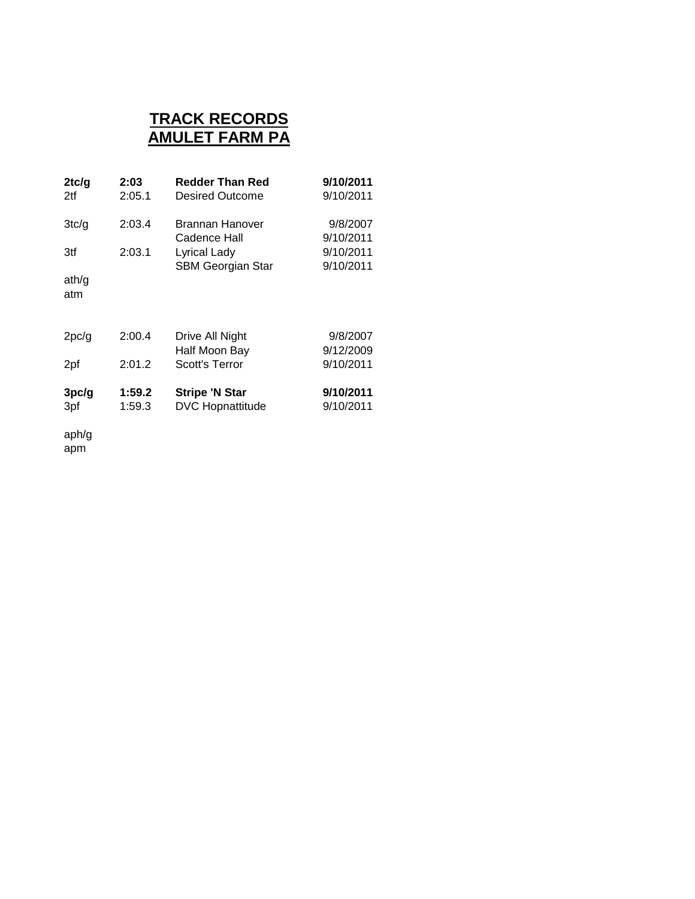#### **TRACK RECORDS AMULET FARM PA**

| 2tc/g<br>2tf          | 2:03<br>2:05.1   | Redder Than Red<br>Desired Outcome                                                 | 9/10/2011<br>9/10/2011                          |
|-----------------------|------------------|------------------------------------------------------------------------------------|-------------------------------------------------|
| 3tc/g<br>3tf<br>ath/g | 2:03.4<br>2:03.1 | Brannan Hanover<br>Cadence Hall<br><b>Lyrical Lady</b><br><b>SBM Georgian Star</b> | 9/8/2007<br>9/10/2011<br>9/10/2011<br>9/10/2011 |
| atm                   |                  |                                                                                    |                                                 |
| 2pc/g                 | 2:00.4           | Drive All Night<br>Half Moon Bay                                                   | 9/8/2007<br>9/12/2009                           |
| 2pf                   | 2:01.2           | Scott's Terror                                                                     | 9/10/2011                                       |
| 3pc/g<br>3pf          | 1:59.2<br>1:59.3 | <b>Stripe 'N Star</b><br><b>DVC Hopnattitude</b>                                   | 9/10/2011<br>9/10/2011                          |

aph/g

apm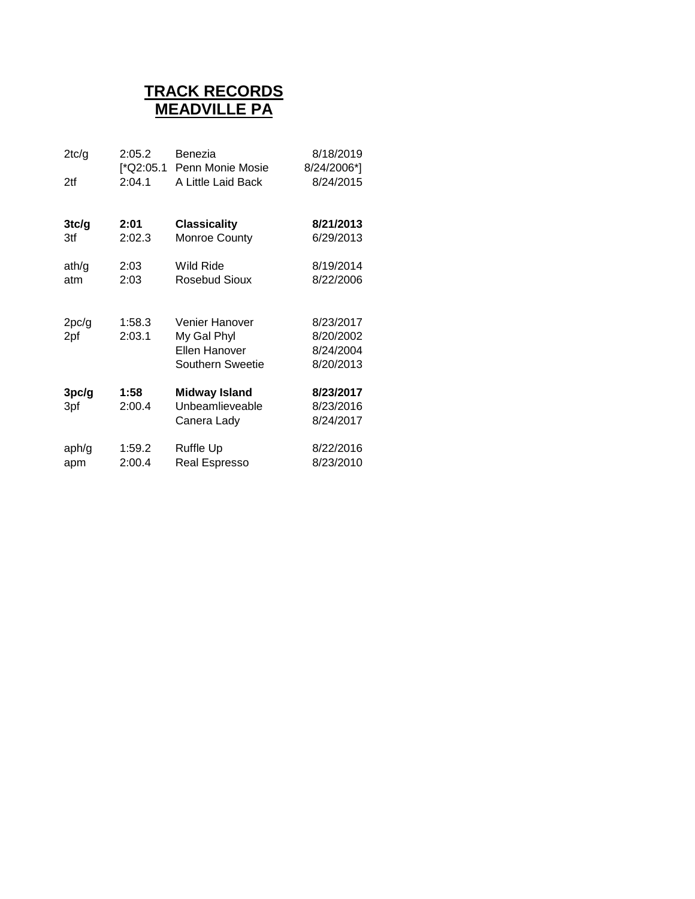### **TRACK RECORDS MEADVILLE PA**

| 2tc/g<br>2tf | 2:05.2<br>[*Q2:05.1<br>2:04.1 | Benezia<br>Penn Monie Mosie<br>A Little Laid Back                         | 8/18/2019<br>8/24/2006*]<br>8/24/2015            |
|--------------|-------------------------------|---------------------------------------------------------------------------|--------------------------------------------------|
| 3tc/g        | 2:01                          | <b>Classicality</b>                                                       | 8/21/2013                                        |
| 3tf          | 2:02.3                        | Monroe County                                                             | 6/29/2013                                        |
| ath/g        | 2:03                          | Wild Ride                                                                 | 8/19/2014                                        |
| atm          | 2:03                          | Rosebud Sioux                                                             | 8/22/2006                                        |
| 2pc/g<br>2pf | 1:58.3<br>2:03.1              | Venier Hanover<br>My Gal Phyl<br>Ellen Hanover<br><b>Southern Sweetie</b> | 8/23/2017<br>8/20/2002<br>8/24/2004<br>8/20/2013 |
| 3pc/g<br>3pf | 1:58<br>2:00.4                | <b>Midway Island</b><br>Unbeamlieveable<br>Canera Lady                    | 8/23/2017<br>8/23/2016<br>8/24/2017              |
| aph/g        | 1:59.2                        | Ruffle Up                                                                 | 8/22/2016                                        |
| apm          | 2:00.4                        | Real Espresso                                                             | 8/23/2010                                        |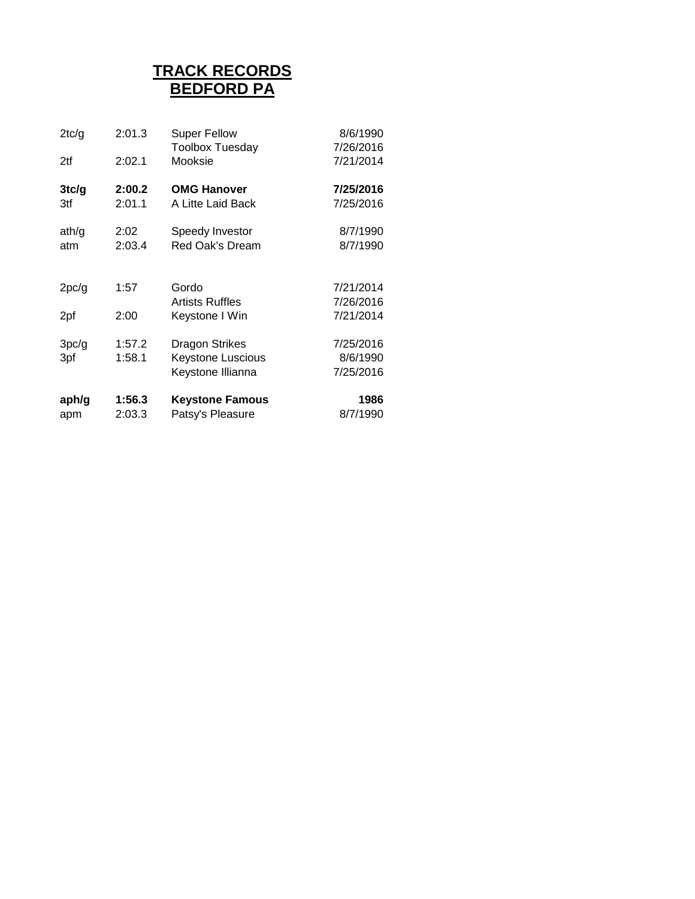# **TRACK RECORDS BEDFORD PA**

| 2tc/g        | 2:01.3           | <b>Super Fellow</b>                                                    | 8/6/1990                           |
|--------------|------------------|------------------------------------------------------------------------|------------------------------------|
| 2tf          | 2:02.1           | <b>Toolbox Tuesday</b><br>Mooksie                                      | 7/26/2016<br>7/21/2014             |
| 3tc/g<br>3tf | 2:00.2<br>2:01.1 | <b>OMG Hanover</b><br>A Litte Laid Back                                | 7/25/2016<br>7/25/2016             |
| ath/g<br>atm | 2:02<br>2:03.4   | Speedy Investor<br>Red Oak's Dream                                     | 8/7/1990<br>8/7/1990               |
| 2pc/g        | 1:57             | Gordo<br><b>Artists Ruffles</b>                                        | 7/21/2014<br>7/26/2016             |
| 2pf          | 2:00             | Keystone I Win                                                         | 7/21/2014                          |
| 3pc/g<br>3pf | 1:57.2<br>1:58.1 | <b>Dragon Strikes</b><br><b>Keystone Luscious</b><br>Keystone Illianna | 7/25/2016<br>8/6/1990<br>7/25/2016 |
| aph/g<br>apm | 1:56.3<br>2:03.3 | <b>Keystone Famous</b><br>Patsy's Pleasure                             | 1986<br>8/7/1990                   |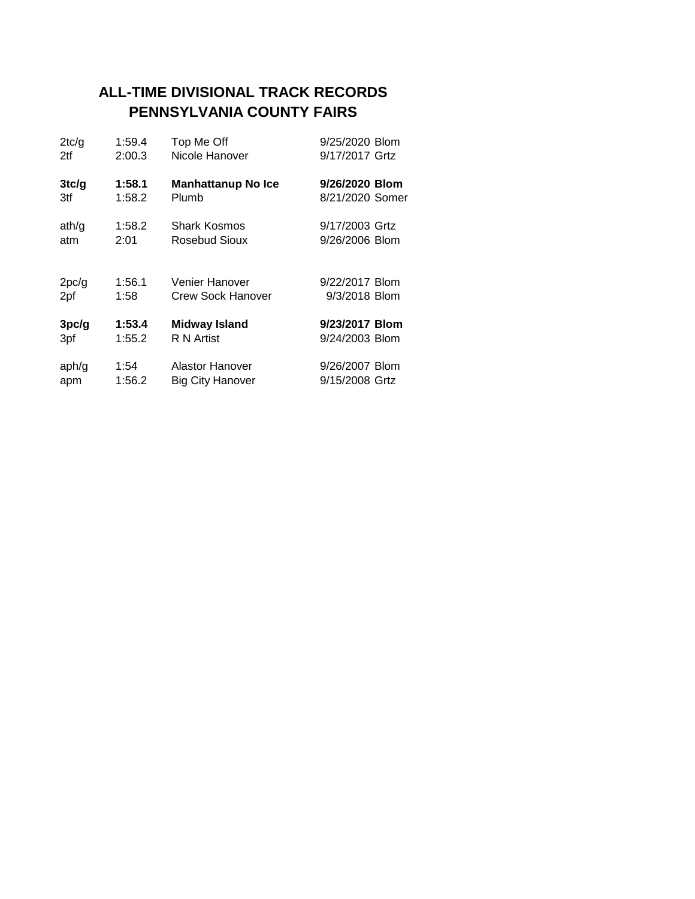### **ALL-TIME DIVISIONAL TRACK RECORDS PENNSYLVANIA COUNTY FAIRS**

| 2tc/g | 1:59.4 | Top Me Off                | 9/25/2020 Blom  |
|-------|--------|---------------------------|-----------------|
| 2tf   | 2:00.3 | Nicole Hanover            | 9/17/2017 Grtz  |
| 3tc/g | 1:58.1 | <b>Manhattanup No Ice</b> | 9/26/2020 Blom  |
| 3tf   | 1:58.2 | Plumb                     | 8/21/2020 Somer |
| ath/q | 1:58.2 | <b>Shark Kosmos</b>       | 9/17/2003 Grtz  |
| atm   | 2:01   | Rosebud Sioux             | 9/26/2006 Blom  |
| 2pc/g | 1:56.1 | Venier Hanover            | 9/22/2017 Blom  |
| 2pf   | 1:58   | <b>Crew Sock Hanover</b>  | 9/3/2018 Blom   |
| 3pc/g | 1:53.4 | <b>Midway Island</b>      | 9/23/2017 Blom  |
| 3pf   | 1:55.2 | R N Artist                | 9/24/2003 Blom  |
| aph/g | 1:54   | <b>Alastor Hanover</b>    | 9/26/2007 Blom  |
| apm   | 1:56.2 | <b>Big City Hanover</b>   | 9/15/2008 Grtz  |